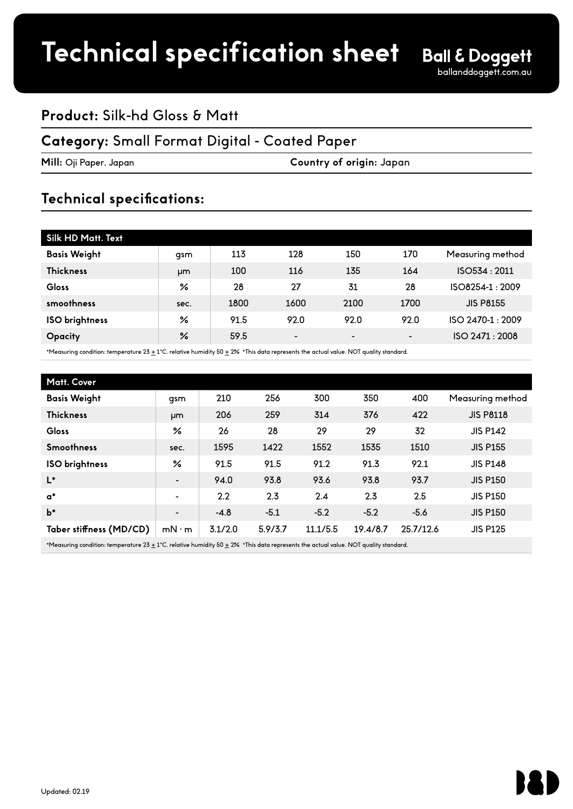## **Product:** Silk-hd Gloss & Matt

### **Category:** Small Format Digital - Coated Paper

**Mill:** Oji Paper, Japan **Country of origin:** Japan

## **Technical specifications:**

| Silk HD Matt. Text    |               |      |                          |                 |                 |                  |  |
|-----------------------|---------------|------|--------------------------|-----------------|-----------------|------------------|--|
| <b>Basis Weight</b>   | qsm           | 113  | 128                      | 150             | 170             | Measuring method |  |
| <b>Thickness</b>      | µm            | 100  | 116                      | 135             | 164             | ISO534: 2011     |  |
| Gloss                 | ℅             | 28   | 27                       | 31              | 28              | ISO8254-1:2009   |  |
| smoothness            | sec.          | 1800 | 1600                     | 2100            | 1700            | <b>JIS P8155</b> |  |
| <b>ISO</b> brightness | ℅             | 91.5 | 92.0                     | 92.0            | 92.0            | ISO 2470-1:2009  |  |
| <b>Opacity</b>        | $\frac{9}{6}$ | 59.5 | $\overline{\phantom{a}}$ | $\qquad \qquad$ | $\qquad \qquad$ | ISO 2471 : 2008  |  |

\*Measuring condition: temperature 23  $\pm$  1°C, relative humidity 50  $\pm$  2% \*This data represents the actual value. NOT quality standard.

| Matt. Cover             |                          |         |         |          |          |           |                  |  |
|-------------------------|--------------------------|---------|---------|----------|----------|-----------|------------------|--|
| <b>Basis Weight</b>     | gsm                      | 210     | 256     | 300      | 350      | 400       | Measuring method |  |
| <b>Thickness</b>        | µm                       | 206     | 259     | 314      | 376      | 422       | <b>JIS P8118</b> |  |
| <b>Gloss</b>            | ℅                        | 26      | 28      | 29       | 29       | 32        | <b>JIS P142</b>  |  |
| <b>Smoothness</b>       | sec.                     | 1595    | 1422    | 1552     | 1535     | 1510      | <b>JIS P155</b>  |  |
| ISO brightness          | ℅                        | 91.5    | 91.5    | 91.2     | 91.3     | 92.1      | <b>JIS P148</b>  |  |
| $L^*$                   | $\overline{\phantom{a}}$ | 94.0    | 93.8    | 93.6     | 93.8     | 93.7      | <b>JIS P150</b>  |  |
| $\mathsf{a}^*$          | $\overline{\phantom{a}}$ | 2.2     | 2.3     | 2.4      | 2.3      | 2.5       | <b>JIS P150</b>  |  |
| $b*$                    | $\blacksquare$           | $-4.8$  | $-5.1$  | $-5.2$   | $-5.2$   | $-5.6$    | <b>JIS P150</b>  |  |
| Taber stiffness (MD/CD) | $mN \cdot m$             | 3.1/2.0 | 5.9/3.7 | 11.1/5.5 | 19.4/8.7 | 25.7/12.6 | <b>JIS P125</b>  |  |
|                         |                          |         |         |          |          |           |                  |  |

\*Measuring condition: temperature  $23 \pm 1^{\circ}$ C, relative humidity 50  $\pm$  2% \*This data represents the actual value. NOT quality standard.